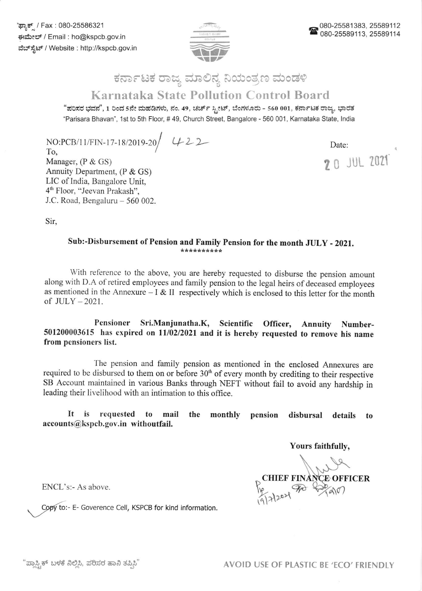

## $\Rightarrow$ ಕರ್ನಾಟಕ ರಾಜ್ಯ ಮಾಲಿನ್ಯ ನಿಯಂತ್ರಣ ಮಂಡ Karnataka State Pollution Control Board

"ಪರಿಸರ ಭವನ", 1 ರಿಂದ 5ನೇ ಮಹಡಿಗಳು, ನಂ. 49, ಚರ್ಚ್ ಸ್ಟೀಟ್, ಬೆಂಗಳೂರು - 560 001, ಕರ್ನಾಟಕ ರಾಜ್ಞ, ಭಾರತ 'Parisara Bhavan', 1st to sth Floor, # 49, Church Street, Bangalore - 560 001, Kamataka State, lndia

NO:PCB/11/FIN-17-18/2019-20 422 To, Manager, (P & GS) Annuity Department, (P & GS) LIC of India, Bangalore Unit, 4'h Floor, "Jeevan Prakash", J.C. Road, Bengaluru - 560 002.

Date:

20 JUL ZO21

Sir,

## Sub:-Disbursement of Pension and Family Pension for the month JULY - 2021.

with reference to the above, you are hereby requested to disburse the pension amount along with D.A of retired employees and family pension to the legal heirs of deceased employees as mentioned in the Annexure - I & II respectively which is enclosed to this letter for the month of JULY - 2021.

Pensioner Sri.Manjunatha.K, Scientific Officer, Annuity Number-501200003615 has expired on 11/02/2021 and it is hereby requested to remove his name from pensioners list.

The pension and family pension as mentioned in the enclosed Annexures are required to be disbursed to them on or before  $30<sup>th</sup>$  of every month by crediting to their respective SB Account maintained in various Banks through NEFT without fail to avoid any hardship in leading their livelihood with an intimation to this office.

It is requested to mail the accounts@kspcb.gov.in withoutfail. monthly pension disbursal details to

Yours faithfully,

**FINANCE OFFICER**<br>FORMANT  $P_{\rm co}$ 19/7/2021  $\overline{\phantom{a}}$ 

ENCL's:- As above.

Copy to:- E- Goverence Cell, KSPCB for kind information.